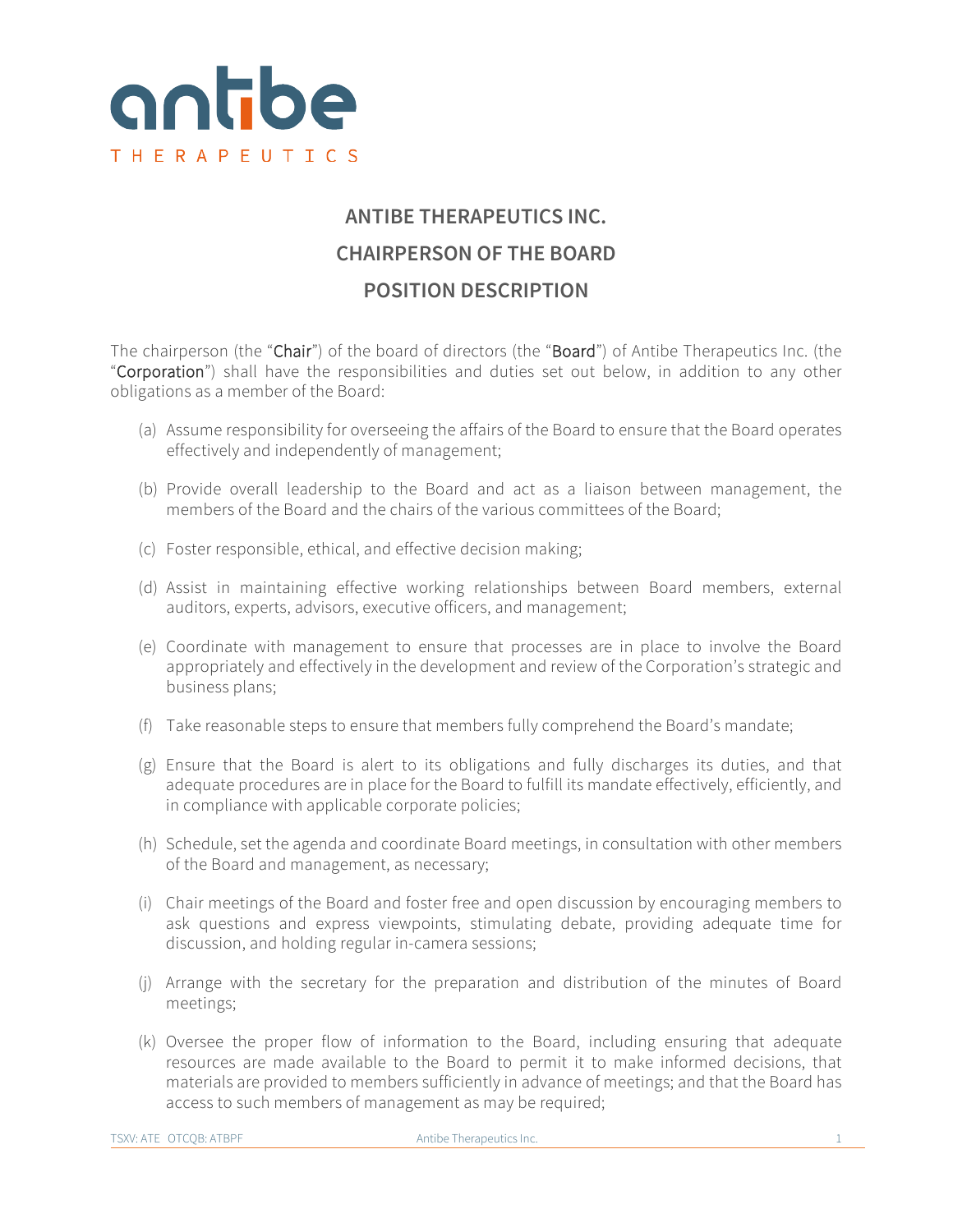

## **ANTIBE THERAPEUTICS INC. CHAIRPERSON OF THE BOARD POSITION DESCRIPTION**

The chairperson (the "Chair") of the board of directors (the "Board") of Antibe Therapeutics Inc. (the "Corporation") shall have the responsibilities and duties set out below, in addition to any other obligations as a member of the Board:

- (a) Assume responsibility for overseeing the affairs of the Board to ensure that the Board operates effectively and independently of management;
- (b) Provide overall leadership to the Board and act as a liaison between management, the members of the Board and the chairs of the various committees of the Board;
- (c) Foster responsible, ethical, and effective decision making;
- (d) Assist in maintaining effective working relationships between Board members, external auditors, experts, advisors, executive officers, and management;
- (e) Coordinate with management to ensure that processes are in place to involve the Board appropriately and effectively in the development and review of the Corporation's strategic and business plans;
- (f) Take reasonable steps to ensure that members fully comprehend the Board's mandate;
- (g) Ensure that the Board is alert to its obligations and fully discharges its duties, and that adequate procedures are in place for the Board to fulfill its mandate effectively, efficiently, and in compliance with applicable corporate policies;
- (h) Schedule, set the agenda and coordinate Board meetings, in consultation with other members of the Board and management, as necessary;
- (i) Chair meetings of the Board and foster free and open discussion by encouraging members to ask questions and express viewpoints, stimulating debate, providing adequate time for discussion, and holding regular in-camera sessions;
- (j) Arrange with the secretary for the preparation and distribution of the minutes of Board meetings;
- (k) Oversee the proper flow of information to the Board, including ensuring that adequate resources are made available to the Board to permit it to make informed decisions, that materials are provided to members sufficiently in advance of meetings; and that the Board has access to such members of management as may be required;